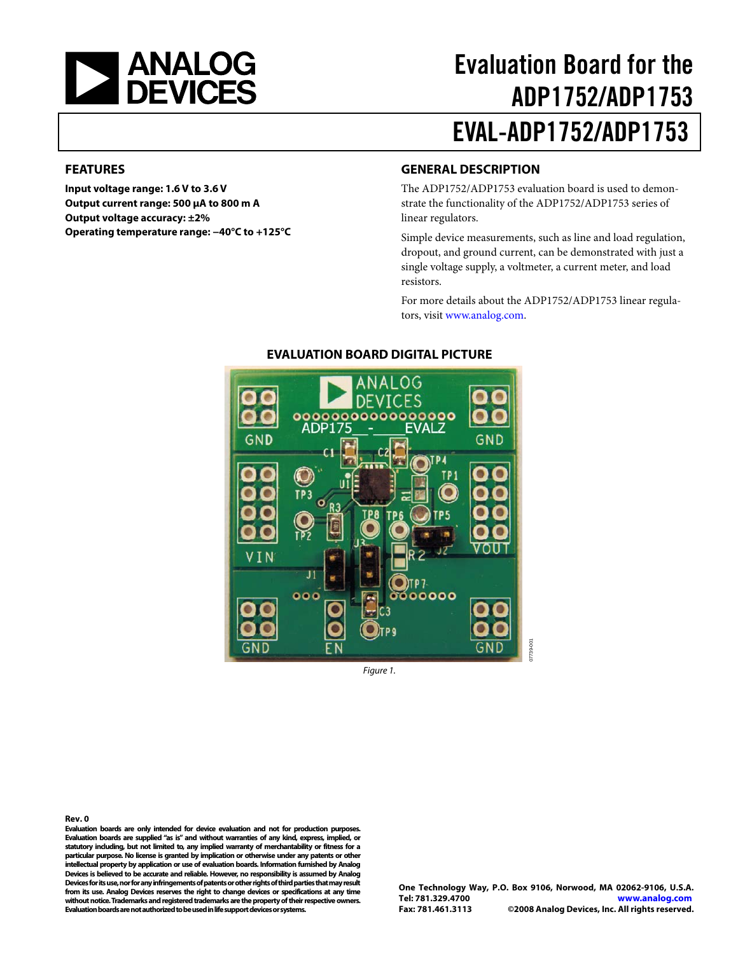

# Evaluation Board for the ADP1752/ADP1753 EVAL-ADP1752/ADP1753

#### <span id="page-0-0"></span>**FEATURES**

**Input voltage range: 1.6 V to 3.6 V Output current range: 500 μA to 800 m A Output voltage accuracy: ±2% Operating temperature range: −40°C to +125°C** 

#### <span id="page-0-1"></span>**GENERAL DESCRIPTION**

The ADP1752/ADP1753 evaluation board is used to demonstrate the functionality of the ADP1752/ADP1753 series of linear regulators.

Simple device measurements, such as line and load regulation, dropout, and ground current, can be demonstrated with just a single voltage supply, a voltmeter, a current meter, and load resistors.

For more details about the ADP1752/ADP1753 linear regulators, visi[t www.analog.com.](http://www.analog.com/) 

<span id="page-0-2"></span>

#### **EVALUATION BOARD DIGITAL PICTURE**

Figure 1.

**Rev. 0** 

**Evaluation boards are only intended for device evaluation and not for production purposes. Evaluation boards are supplied "as is" and without warranties of any kind, express, implied, or statutory including, but not limited to, any implied warranty of merchantability or fitness for a particular purpose. No license is granted by implication or otherwise under any patents or other intellectual property by application or use of evaluation boards. Information furnished by Analog Devices is believed to be accurate and reliable. However, no responsibility is assumed by Analog Devices for its use, nor for any infringements of patents or other rights of third parties that may result from its use. Analog Devices reserves the right to change devices or specifications at any time without notice. Trademarks and registered trademarks are the property of their respective owners. Evaluation boards are not authorized to be used in life support devices or systems.** 

07739-001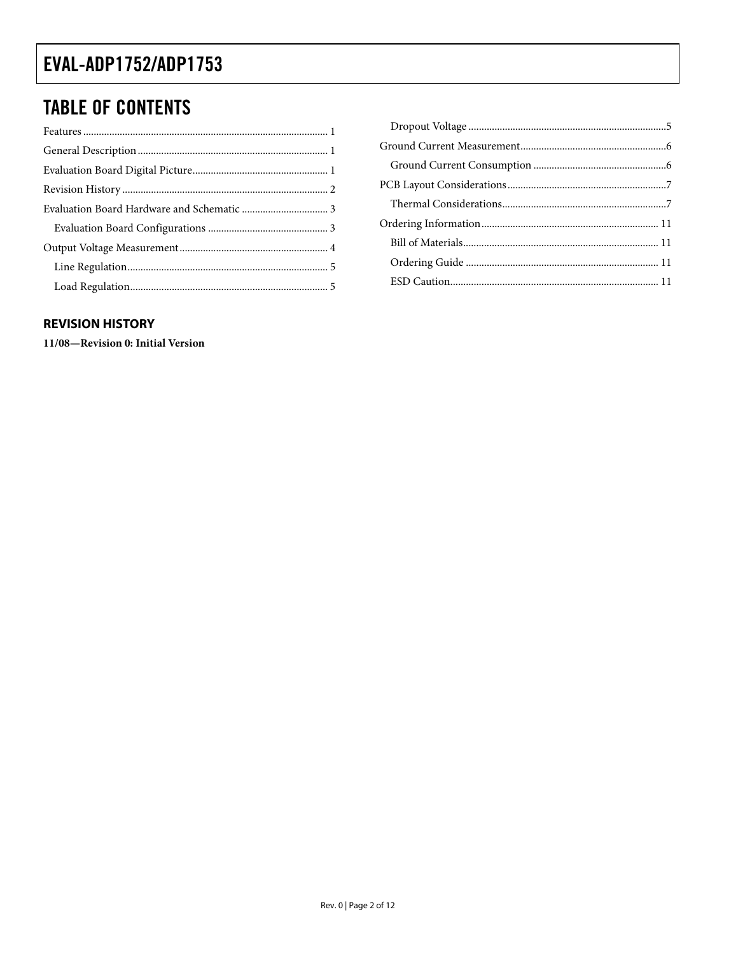### **TABLE OF CONTENTS**

#### <span id="page-1-0"></span>**REVISION HISTORY**

11/08-Revision 0: Initial Version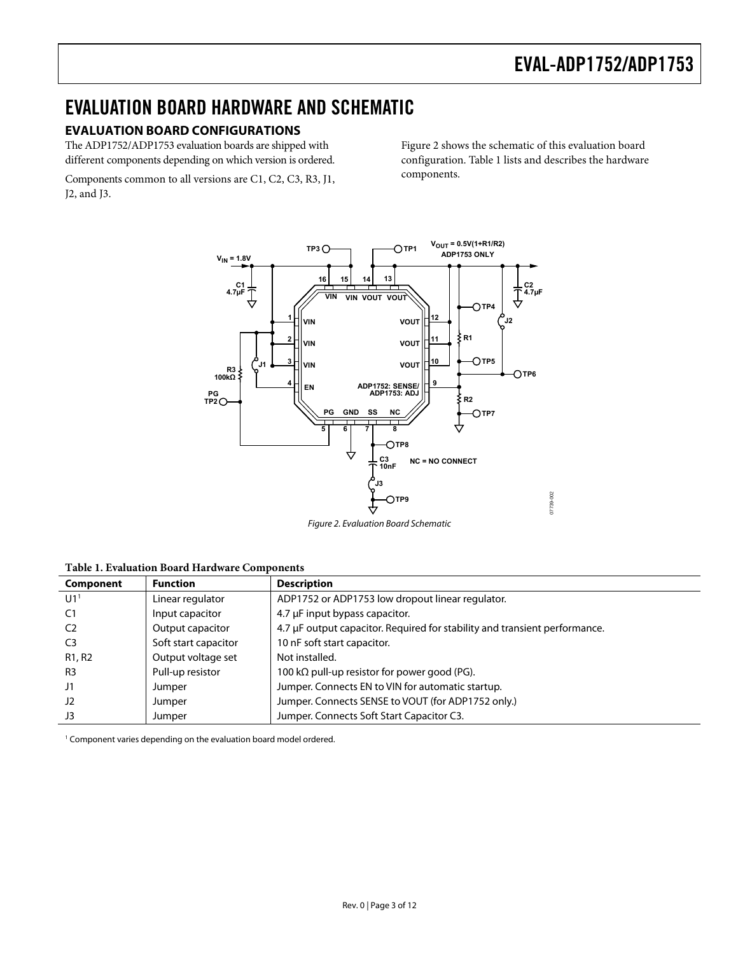### <span id="page-2-0"></span>EVALUATION BOARD HARDWARE AND SCHEMATIC

#### <span id="page-2-1"></span>**EVALUATION BOARD CONFIGURATIONS**

The ADP1752/ADP1753 evaluation boards are shipped with different components depending on which version is ordered.

Components common to all versions are C1, C2, C3, R3, J1, J2, and J3.

[Figure 2](#page-2-2) shows the schematic of this evaluation board configuration. [Table 1](#page-2-3) lists and describes the hardware components.



<span id="page-2-3"></span><span id="page-2-2"></span>**Table 1. Evaluation Board Hardware Components** 

| Component                       | <b>Function</b>      | <b>Description</b>                                                         |
|---------------------------------|----------------------|----------------------------------------------------------------------------|
| U1 <sup>1</sup>                 | Linear regulator     | ADP1752 or ADP1753 low dropout linear regulator.                           |
| C1                              | Input capacitor      | 4.7 µF input bypass capacitor.                                             |
| C <sub>2</sub>                  | Output capacitor     | 4.7 µF output capacitor. Required for stability and transient performance. |
| C <sub>3</sub>                  | Soft start capacitor | 10 nF soft start capacitor.                                                |
| R <sub>1</sub> , R <sub>2</sub> | Output voltage set   | Not installed.                                                             |
| R <sub>3</sub>                  | Pull-up resistor     | 100 k $\Omega$ pull-up resistor for power good (PG).                       |
| J1                              | Jumper               | Jumper. Connects EN to VIN for automatic startup.                          |
| J2                              | Jumper               | Jumper. Connects SENSE to VOUT (for ADP1752 only.)                         |
| J3                              | Jumper               | Jumper. Connects Soft Start Capacitor C3.                                  |

<span id="page-2-4"></span><sup>1</sup> Component varies depending on the evaluation board model ordered.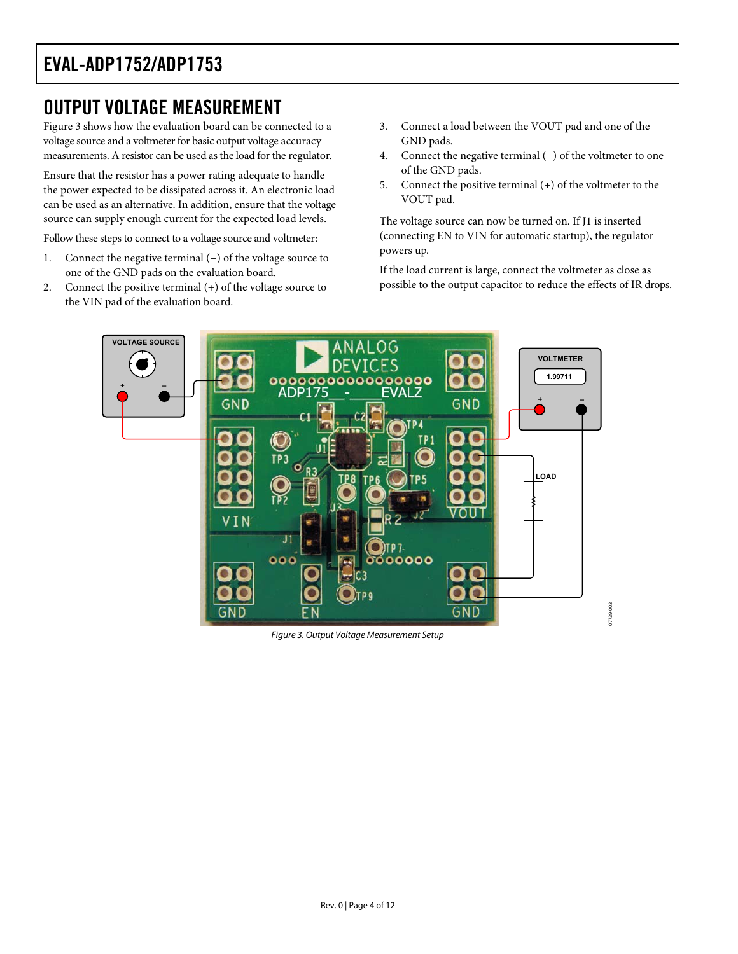### <span id="page-3-0"></span>OUTPUT VOLTAGE MEASUREMENT

[Figure 3](#page-3-1) shows how the evaluation board can be connected to a voltage source and a voltmeter for basic output voltage accuracy measurements. A resistor can be used as the load for the regulator.

Ensure that the resistor has a power rating adequate to handle the power expected to be dissipated across it. An electronic load can be used as an alternative. In addition, ensure that the voltage source can supply enough current for the expected load levels.

Follow these steps to connect to a voltage source and voltmeter:

- 1. Connect the negative terminal (−) of the voltage source to one of the GND pads on the evaluation board.
- 2. Connect the positive terminal (+) of the voltage source to the VIN pad of the evaluation board.
- 3. Connect a load between the VOUT pad and one of the GND pads.
- 4. Connect the negative terminal (−) of the voltmeter to one of the GND pads.
- 5. Connect the positive terminal (+) of the voltmeter to the VOUT pad.

The voltage source can now be turned on. If J1 is inserted (connecting EN to VIN for automatic startup), the regulator powers up.

If the load current is large, connect the voltmeter as close as possible to the output capacitor to reduce the effects of IR drops.

07739-003

G<sub>3</sub>



<span id="page-3-1"></span>Figure 3. Output Voltage Measurement Setup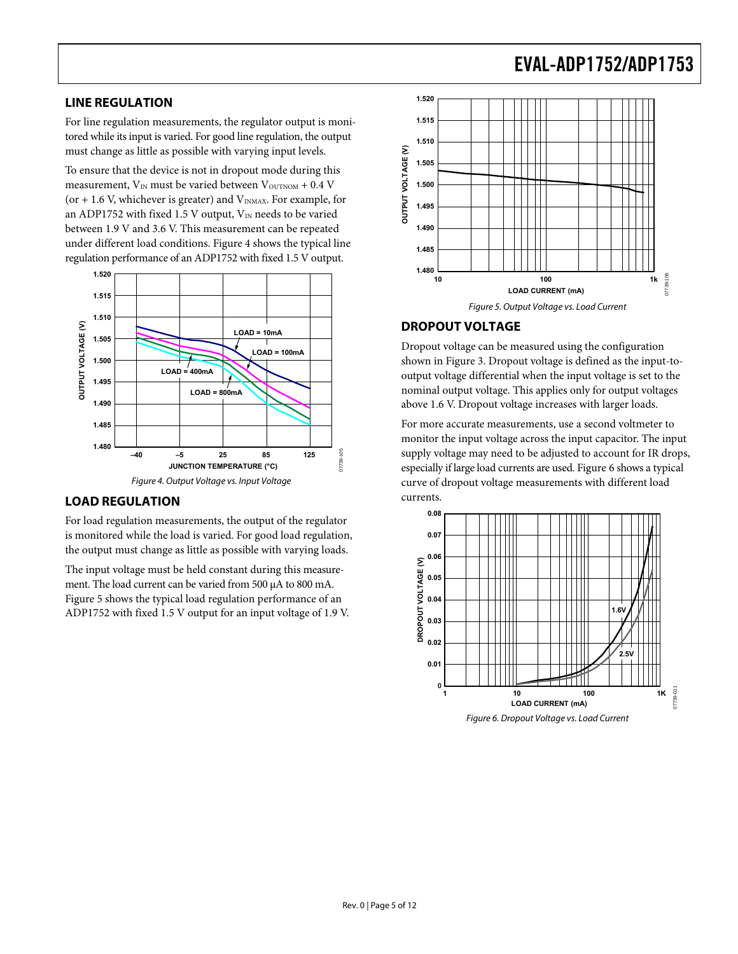#### <span id="page-4-0"></span>**LINE REGULATION**

For line regulation measurements, the regulator output is monitored while its input is varied. For good line regulation, the output must change as little as possible with varying input levels.

To ensure that the device is not in dropout mode during this measurement,  $V_{IN}$  must be varied between  $V_{\text{OUTNOM}} + 0.4$  V (or  $+$  1.6 V, whichever is greater) and  $V_{INMAX}$ . For example, for a[n ADP1752 w](http://www.analog.com/ADP1712)ith fixed 1.5 V output,  $V_{\text{IN}}$  needs to be varied between 1.9 V and 3.6 V. This measurement can be repeated under different load conditions. [Figure 4 s](#page-4-3)hows the typical line regulation performance of an ADP1752 with fixed 1.5 V output.



#### <span id="page-4-3"></span><span id="page-4-1"></span>**LOAD REGULATION**

For load regulation measurements, the output of the regulator is monitored while the load is varied. For good load regulation, the output must change as little as possible with varying loads.

The input voltage must be held constant during this measurement. The load current can be varied from 500 μA to 800 mA. [Figure 5](#page-4-4) shows the typical load regulation performance of an ADP1752 with fixed 1.5 V output for an input voltage of 1.9 V.



#### <span id="page-4-4"></span><span id="page-4-2"></span>**DROPOUT VOLTAGE**

Dropout voltage can be measured using the configuration shown in [Figure 3.](#page-3-1) Dropout voltage is defined as the input-tooutput voltage differential when the input voltage is set to the nominal output voltage. This applies only for output voltages above 1.6 V. Dropout voltage increases with larger loads.

For more accurate measurements, use a second voltmeter to monitor the input voltage across the input capacitor. The input supply voltage may need to be adjusted to account for IR drops, especially if large load currents are used[. Figure 6](#page-4-5) shows a typical curve of dropout voltage measurements with different load currents.



<span id="page-4-5"></span>Figure 6. Dropout Voltage vs. Load Current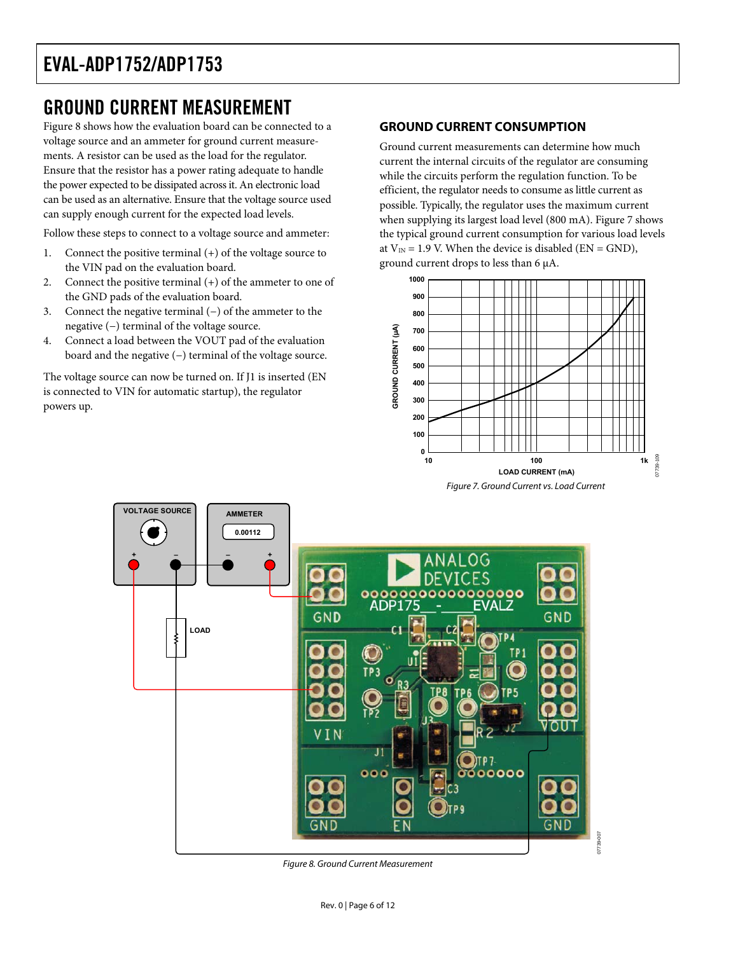### <span id="page-5-0"></span>GROUND CURRENT MEASUREMENT

[Figure 8](#page-5-2) shows how the evaluation board can be connected to a voltage source and an ammeter for ground current measurements. A resistor can be used as the load for the regulator. Ensure that the resistor has a power rating adequate to handle the power expected to be dissipated across it. An electronic load can be used as an alternative. Ensure that the voltage source used can supply enough current for the expected load levels.

Follow these steps to connect to a voltage source and ammeter:

- 1. Connect the positive terminal (+) of the voltage source to the VIN pad on the evaluation board.
- 2. Connect the positive terminal (+) of the ammeter to one of the GND pads of the evaluation board.
- 3. Connect the negative terminal (−) of the ammeter to the negative (−) terminal of the voltage source.
- 4. Connect a load between the VOUT pad of the evaluation board and the negative (−) terminal of the voltage source.

The voltage source can now be turned on. If J1 is inserted (EN is connected to VIN for automatic startup), the regulator powers up.

#### <span id="page-5-1"></span>**GROUND CURRENT CONSUMPTION**

Ground current measurements can determine how much current the internal circuits of the regulator are consuming while the circuits perform the regulation function. To be efficient, the regulator needs to consume as little current as possible. Typically, the regulator uses the maximum current when supplying its largest load level (800 mA). [Figure 7](#page-5-3) shows the typical ground current consumption for various load levels at  $V_{IN} = 1.9$  V. When the device is disabled (EN = GND), ground current drops to less than 6 μA.

<span id="page-5-3"></span>



<span id="page-5-2"></span>Figure 8. Ground Current Measurement

Rev. 0 | Page 6 of 12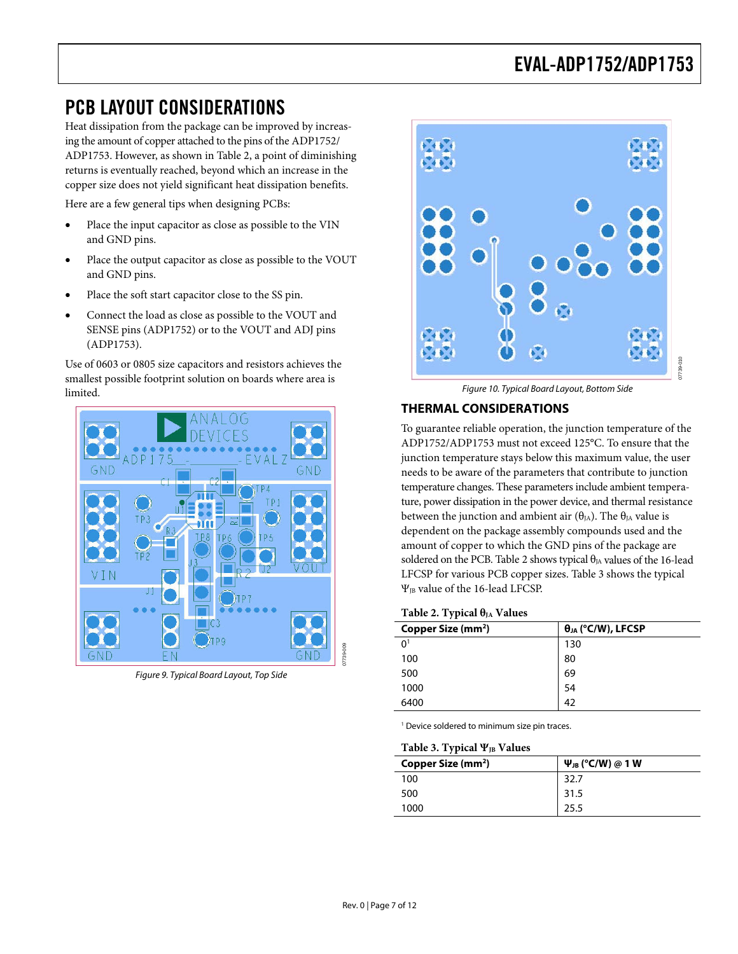### <span id="page-6-0"></span>PCB LAYOUT CONSIDERATIONS

Heat dissipation from the package can be improved by increasing the amount of copper attached to the pins of the ADP1752/ ADP1753. However, as shown in [Table 2,](#page-6-2) a point of diminishing returns is eventually reached, beyond which an increase in the copper size does not yield significant heat dissipation benefits.

Here are a few general tips when designing PCBs:

- Place the input capacitor as close as possible to the VIN and GND pins.
- Place the output capacitor as close as possible to the VOUT and GND pins.
- Place the soft start capacitor close to the SS pin.
- Connect the load as close as possible to the VOUT and SENSE pins (ADP1752) or to the VOUT and ADJ pins (ADP1753).

Use of 0603 or 0805 size capacitors and resistors achieves the smallest possible footprint solution on boards where area is limited.



Figure 9. Typical Board Layout, Top Side



Figure 10. Typical Board Layout, Bottom Side

#### <span id="page-6-1"></span>**THERMAL CONSIDERATIONS**

To guarantee reliable operation, the junction temperature of the ADP1752/ADP1753 must not exceed 125°C. To ensure that the junction temperature stays below this maximum value, the user needs to be aware of the parameters that contribute to junction temperature changes. These parameters include ambient temperature, power dissipation in the power device, and thermal resistance between the junction and ambient air ( $\theta_{JA}$ ). The  $\theta_{JA}$  value is dependent on the package assembly compounds used and the amount of copper to which the GND pins of the package are soldered on the PCB[. Table 2](#page-6-2) shows typical  $\theta_{IA}$  values of the 16-lead LFCSP for various PCB copper sizes. [Table 3](#page-6-3) shows the typical ΨJB value of the 16-lead LFCSP.

#### <span id="page-6-2"></span>**Table 2. Typical θ**<sub>JA</sub> Values

| . .<br>Copper Size (mm <sup>2</sup> ) | $\theta_{JA}$ (°C/W), LFCSP |
|---------------------------------------|-----------------------------|
| 0 <sup>1</sup>                        | 130                         |
| 100                                   | 80                          |
| 500                                   | 69                          |
| 1000                                  | 54                          |
| 6400                                  | 42                          |

<span id="page-6-3"></span><sup>1</sup> Device soldered to minimum size pin traces.

#### Table 3. Typical Ψ<sub>JB</sub> Values

| Copper Size (mm <sup>2</sup> ) | $\Psi_{JB}$ (°C/W) @ 1 W |
|--------------------------------|--------------------------|
| 100                            | 32.7                     |
| 500                            | 31.5                     |
| 1000                           | 25.5                     |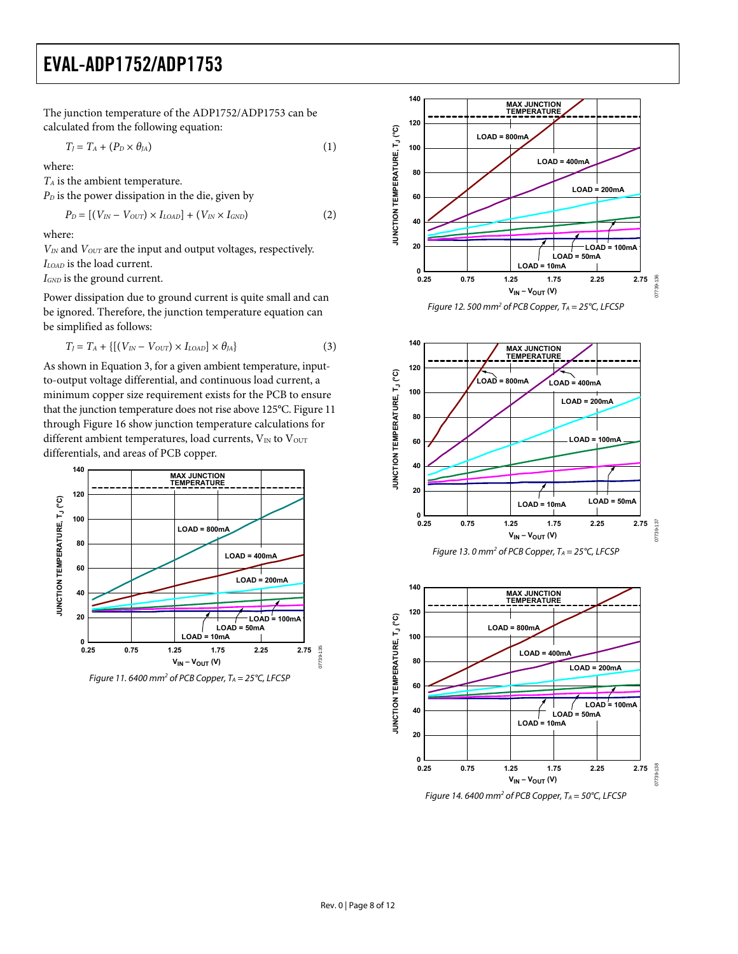The junction temperature of the ADP1752/ADP1753 can be calculated from the following equation:

$$
T_J = T_A + (P_D \times \theta_{JA})
$$
 (1)

where:

*TA* is the ambient temperature.

 $P<sub>D</sub>$  is the power dissipation in the die, given by

$$
P_D = [(V_{IN} - V_{OUT}) \times I_{LOAD}] + (V_{IN} \times I_{GND}) \tag{2}
$$

where:

 $V_{IN}$  and  $V_{OUT}$  are the input and output voltages, respectively. *ILOAD* is the load current.

*IGND* is the ground current.

Power dissipation due to ground current is quite small and can be ignored. Therefore, the junction temperature equation can be simplified as follows:

$$
T_J = T_A + \{ [(V_{IN} - V_{OUT}) \times I_{LOAD}] \times \theta_{JA} \}
$$
 (3)

As shown in Equation 3, for a given ambient temperature, inputto-output voltage differential, and continuous load current, a minimum copper size requirement exists for the PCB to ensure that the junction temperature does not rise above 125°C[. Figure](#page-7-0) 11 through [Figure 16 s](#page-8-0)how junction temperature calculations for different ambient temperatures, load currents,  $V_{IN}$  to  $V_{OUT}$ differentials, and areas of PCB copper.



<span id="page-7-0"></span>Figure 11.6400 mm<sup>2</sup> of PCB Copper,  $T_A = 25^{\circ}$ C, LFCSP











07739-135

)7739-135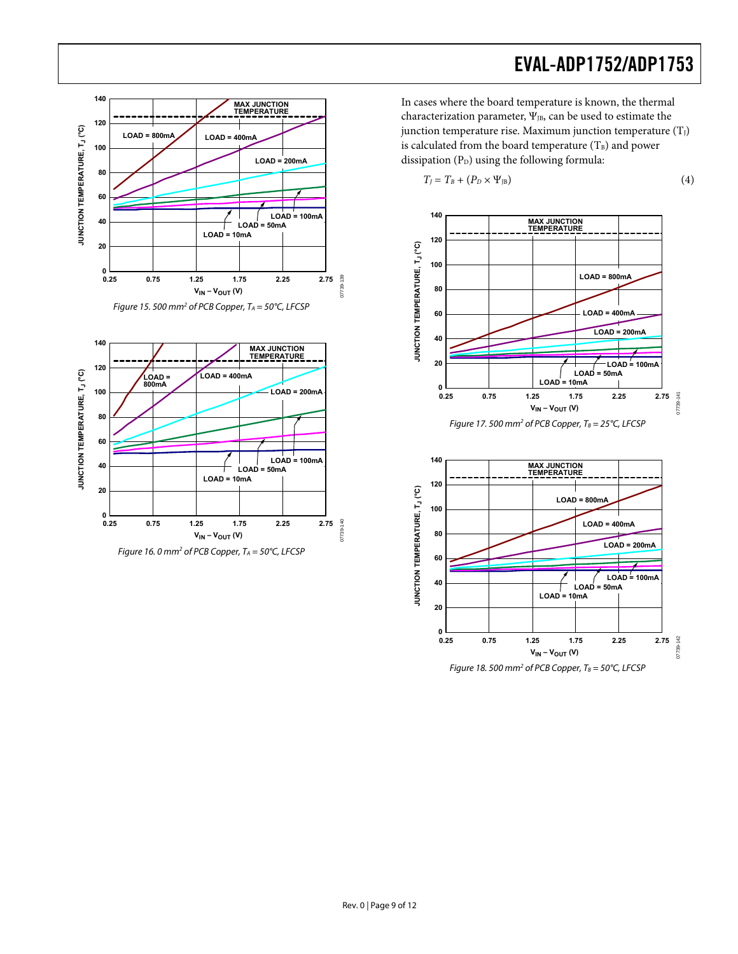



<span id="page-8-0"></span>

In cases where the board temperature is known, the thermal characterization parameter,  $\Psi_{JB}$ , can be used to estimate the junction temperature rise. Maximum junction temperature  $(T_J)$ is calculated from the board temperature  $(T<sub>B</sub>)$  and power dissipation  $(P_D)$  using the following formula:

$$
T_J = T_B + (P_D \times \Psi_{JB})
$$
 (4)



**0.25 0.75 1.25 1.75 2.25 2.75**

**LOAD = 10mA**

 $V_{IN} - V_{OUT} (V)$ 

Figure 18. 500 mm<sup>2</sup> of PCB Copper,  $T_B = 50^{\circ}$ C, LFCSP

07739-142

142 07739-1

**20**

ـــا 0<br>0.25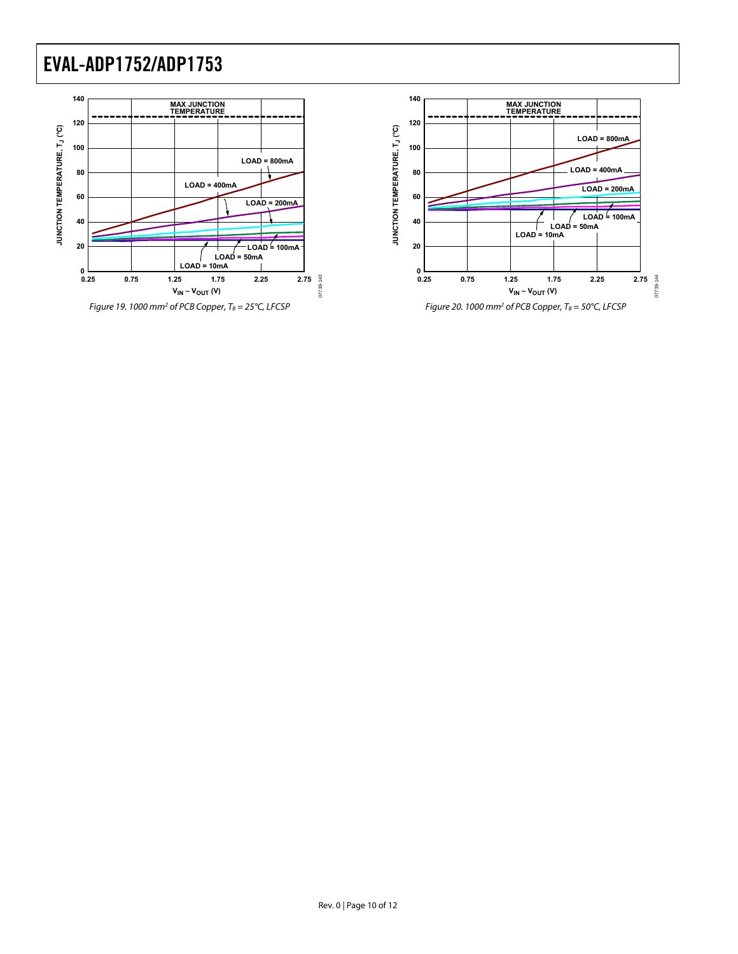

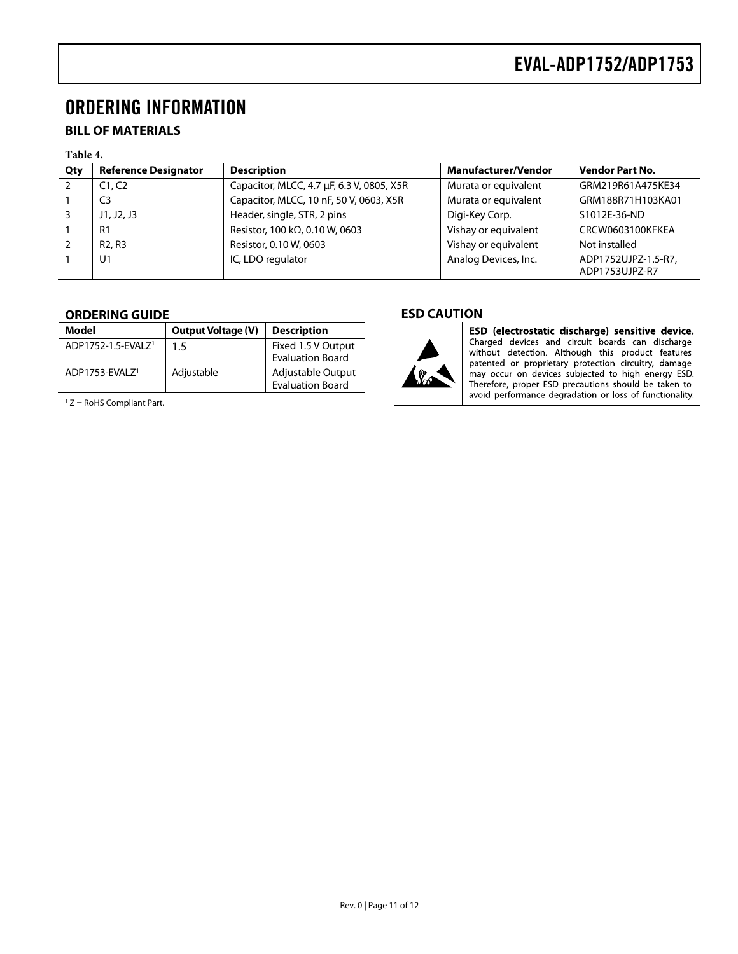### <span id="page-10-0"></span>ORDERING INFORMATION

#### <span id="page-10-1"></span>**BILL OF MATERIALS**

#### **Table 4.**

| Qty | <b>Reference Designator</b>     | <b>Description</b>                        | <b>Manufacturer/Vendor</b> | <b>Vendor Part No.</b>                |
|-----|---------------------------------|-------------------------------------------|----------------------------|---------------------------------------|
|     | C1, C2                          | Capacitor, MLCC, 4.7 µF, 6.3 V, 0805, X5R | Murata or equivalent       | GRM219R61A475KE34                     |
|     | C <sub>3</sub>                  | Capacitor, MLCC, 10 nF, 50 V, 0603, X5R   | Murata or equivalent       | GRM188R71H103KA01                     |
|     | J1, J2, J3                      | Header, single, STR, 2 pins               | Digi-Key Corp.             | S1012E-36-ND                          |
|     | R1                              | Resistor, 100 kΩ, 0.10 W, 0603            | Vishay or equivalent       | CRCW0603100KFKEA                      |
|     | R <sub>2</sub> , R <sub>3</sub> | Resistor, 0.10 W, 0603                    | Vishay or equivalent       | Not installed                         |
|     | U <sub>1</sub>                  | IC, LDO regulator                         | Analog Devices, Inc.       | ADP1752UJPZ-1.5-R7,<br>ADP1753UJPZ-R7 |

#### <span id="page-10-2"></span>**ORDERING GUIDE**

| Model                          | <b>Output Voltage (V)</b> | <b>Description</b>                            |
|--------------------------------|---------------------------|-----------------------------------------------|
| ADP1752-1.5-EVALZ <sup>1</sup> | $1.5\,$                   | Fixed 1.5 V Output<br><b>Evaluation Board</b> |
| ADP1753-FVAI 7 <sup>1</sup>    | Adjustable                | Adjustable Output<br><b>Evaluation Board</b>  |

 $1 Z =$  RoHS Compliant Part.

#### <span id="page-10-3"></span>**ESD CAUTION**



**ESD (electrostatic discharge) sensitive device.**<br>Charged devices and circuit boards can discharge<br>without detection. Although this product features patented or proprietary protection circuitry, damage<br>may occur on devices subjected to high energy ESD. Therefore, proper ESD precautions should be taken to avoid performance degradation or loss of functionality.